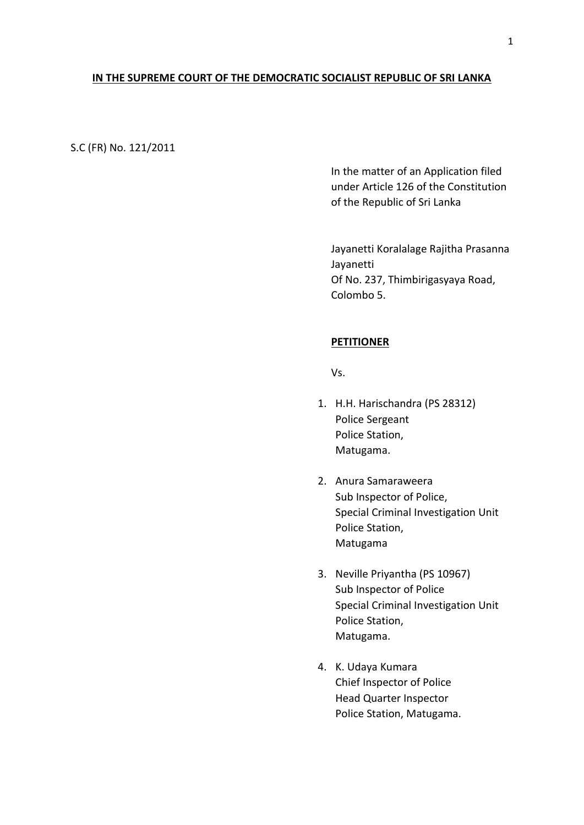### **IN THE SUPREME COURT OF THE DEMOCRATIC SOCIALIST REPUBLIC OF SRI LANKA**

## S.C (FR) No. 121/2011

In the matter of an Application filed under Article 126 of the Constitution of the Republic of Sri Lanka

Jayanetti Koralalage Rajitha Prasanna Jayanetti Of No. 237, Thimbirigasyaya Road, Colombo 5.

## **PETITIONER**

Vs.

- 1. H.H. Harischandra (PS 28312) Police Sergeant Police Station, Matugama.
- 2. Anura Samaraweera Sub Inspector of Police, Special Criminal Investigation Unit Police Station, Matugama
- 3. Neville Priyantha (PS 10967) Sub Inspector of Police Special Criminal Investigation Unit Police Station, Matugama.
- 4. K. Udaya Kumara Chief Inspector of Police Head Quarter Inspector Police Station, Matugama.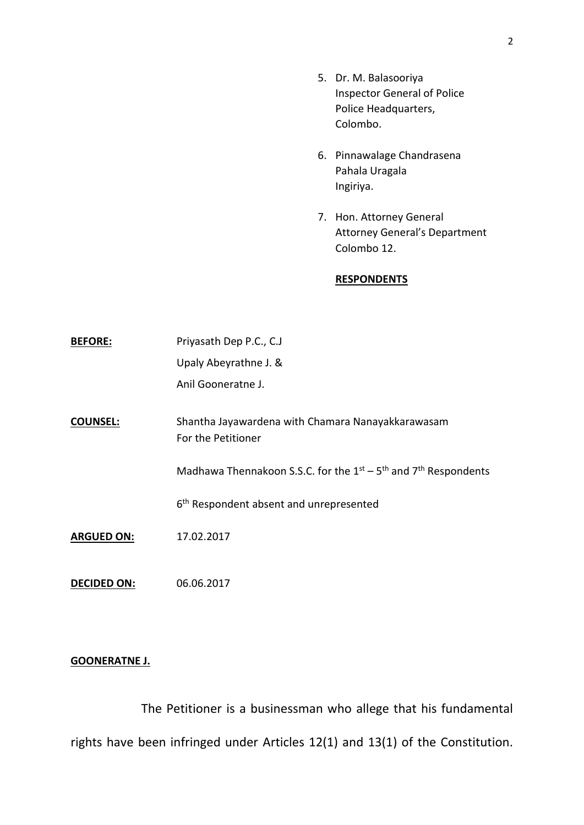- 5. Dr. M. Balasooriya Inspector General of Police Police Headquarters, Colombo.
- 6. Pinnawalage Chandrasena Pahala Uragala Ingiriya.
- 7. Hon. Attorney General Attorney General's Department Colombo 12.

#### **RESPONDENTS**

| <b>BEFORE:</b>     | Priyasath Dep P.C., C.J                                                 |
|--------------------|-------------------------------------------------------------------------|
|                    | Upaly Abeyrathne J. &                                                   |
|                    | Anil Gooneratne J.                                                      |
| <b>COUNSEL:</b>    | Shantha Jayawardena with Chamara Nanayakkarawasam<br>For the Petitioner |
|                    | Madhawa Thennakoon S.S.C. for the $1st - 5th$ and $7th$ Respondents     |
|                    | 6 <sup>th</sup> Respondent absent and unrepresented                     |
| <b>ARGUED ON:</b>  | 17.02.2017                                                              |
| <b>DECIDED ON:</b> | 06.06.2017                                                              |

# **GOONERATNE J.**

The Petitioner is a businessman who allege that his fundamental rights have been infringed under Articles 12(1) and 13(1) of the Constitution.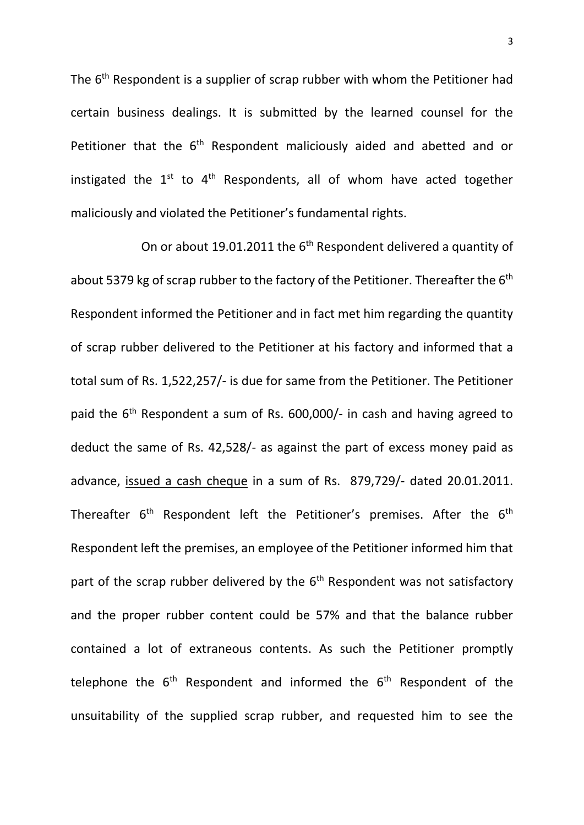The 6<sup>th</sup> Respondent is a supplier of scrap rubber with whom the Petitioner had certain business dealings. It is submitted by the learned counsel for the Petitioner that the 6<sup>th</sup> Respondent maliciously aided and abetted and or instigated the  $1^{st}$  to  $4^{th}$  Respondents, all of whom have acted together maliciously and violated the Petitioner's fundamental rights.

On or about 19.01.2011 the  $6<sup>th</sup>$  Respondent delivered a quantity of about 5379 kg of scrap rubber to the factory of the Petitioner. Thereafter the  $6<sup>th</sup>$ Respondent informed the Petitioner and in fact met him regarding the quantity of scrap rubber delivered to the Petitioner at his factory and informed that a total sum of Rs. 1,522,257/- is due for same from the Petitioner. The Petitioner paid the  $6<sup>th</sup>$  Respondent a sum of Rs. 600,000/- in cash and having agreed to deduct the same of Rs. 42,528/- as against the part of excess money paid as advance, issued a cash cheque in a sum of Rs. 879,729/- dated 20.01.2011. Thereafter  $6<sup>th</sup>$  Respondent left the Petitioner's premises. After the  $6<sup>th</sup>$ Respondent left the premises, an employee of the Petitioner informed him that part of the scrap rubber delivered by the  $6<sup>th</sup>$  Respondent was not satisfactory and the proper rubber content could be 57% and that the balance rubber contained a lot of extraneous contents. As such the Petitioner promptly telephone the  $6<sup>th</sup>$  Respondent and informed the  $6<sup>th</sup>$  Respondent of the unsuitability of the supplied scrap rubber, and requested him to see the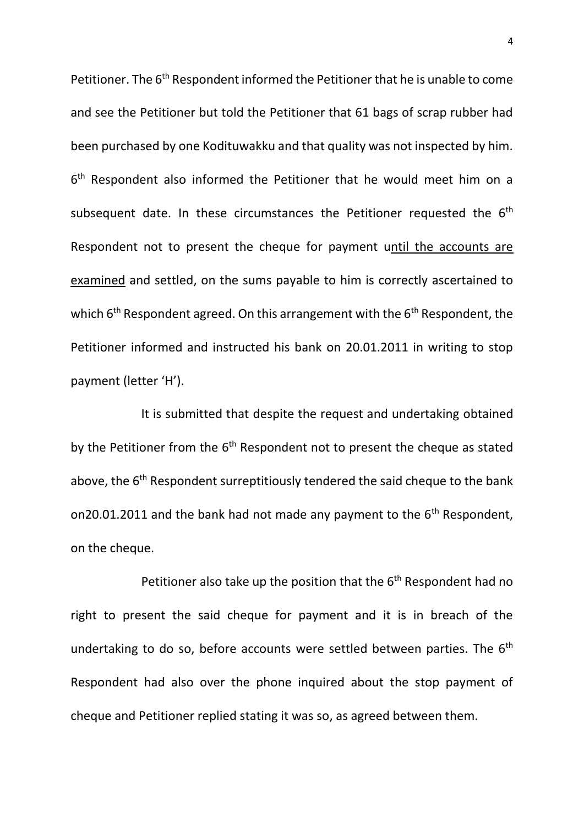Petitioner. The 6<sup>th</sup> Respondent informed the Petitioner that he is unable to come and see the Petitioner but told the Petitioner that 61 bags of scrap rubber had been purchased by one Kodituwakku and that quality was not inspected by him. 6<sup>th</sup> Respondent also informed the Petitioner that he would meet him on a subsequent date. In these circumstances the Petitioner requested the 6<sup>th</sup> Respondent not to present the cheque for payment until the accounts are examined and settled, on the sums payable to him is correctly ascertained to which 6<sup>th</sup> Respondent agreed. On this arrangement with the 6<sup>th</sup> Respondent, the Petitioner informed and instructed his bank on 20.01.2011 in writing to stop payment (letter 'H').

It is submitted that despite the request and undertaking obtained by the Petitioner from the  $6<sup>th</sup>$  Respondent not to present the cheque as stated above, the 6<sup>th</sup> Respondent surreptitiously tendered the said cheque to the bank on20.01.2011 and the bank had not made any payment to the  $6<sup>th</sup>$  Respondent, on the cheque.

Petitioner also take up the position that the  $6<sup>th</sup>$  Respondent had no right to present the said cheque for payment and it is in breach of the undertaking to do so, before accounts were settled between parties. The  $6<sup>th</sup>$ Respondent had also over the phone inquired about the stop payment of cheque and Petitioner replied stating it was so, as agreed between them.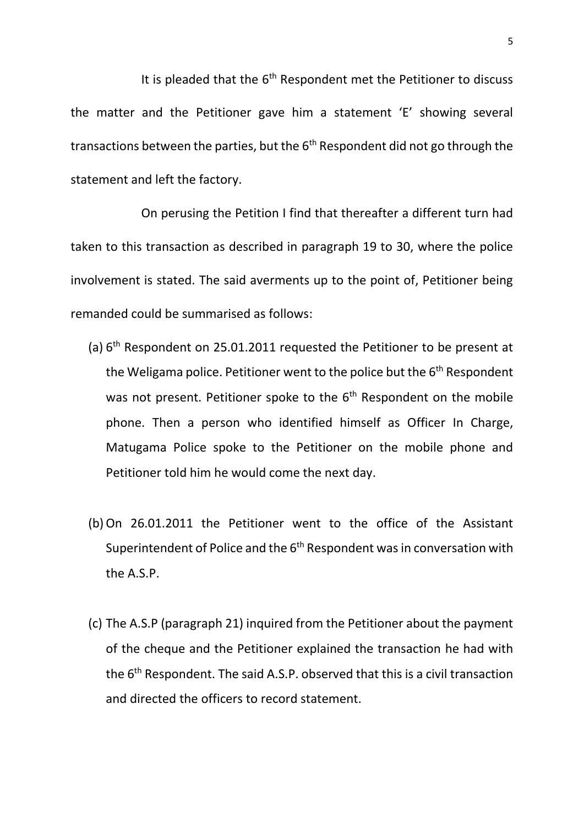It is pleaded that the  $6<sup>th</sup>$  Respondent met the Petitioner to discuss the matter and the Petitioner gave him a statement 'E' showing several transactions between the parties, but the  $6<sup>th</sup>$  Respondent did not go through the statement and left the factory.

On perusing the Petition I find that thereafter a different turn had taken to this transaction as described in paragraph 19 to 30, where the police involvement is stated. The said averments up to the point of, Petitioner being remanded could be summarised as follows:

- (a) 6 th Respondent on 25.01.2011 requested the Petitioner to be present at the Weligama police. Petitioner went to the police but the  $6<sup>th</sup>$  Respondent was not present. Petitioner spoke to the  $6<sup>th</sup>$  Respondent on the mobile phone. Then a person who identified himself as Officer In Charge, Matugama Police spoke to the Petitioner on the mobile phone and Petitioner told him he would come the next day.
- (b)On 26.01.2011 the Petitioner went to the office of the Assistant Superintendent of Police and the 6<sup>th</sup> Respondent was in conversation with the A.S.P.
- (c) The A.S.P (paragraph 21) inquired from the Petitioner about the payment of the cheque and the Petitioner explained the transaction he had with the 6th Respondent. The said A.S.P. observed that this is a civil transaction and directed the officers to record statement.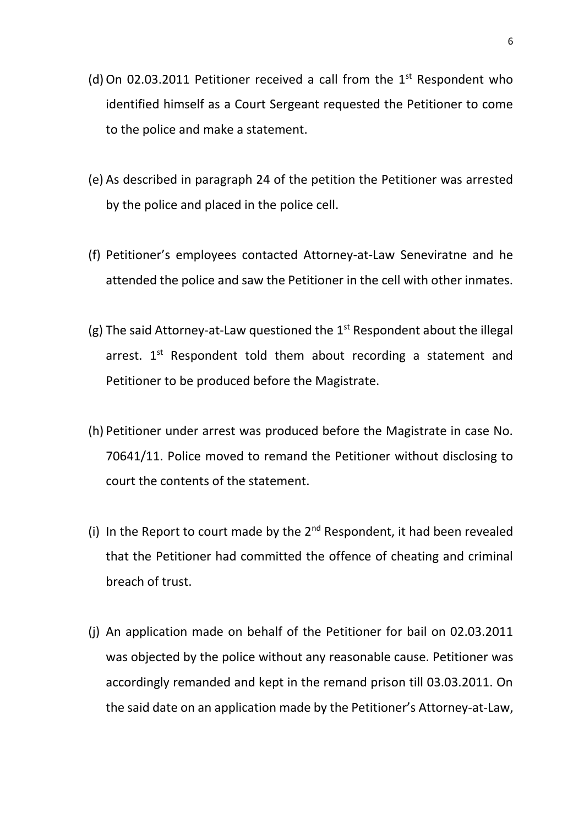- (d) On 02.03.2011 Petitioner received a call from the  $1<sup>st</sup>$  Respondent who identified himself as a Court Sergeant requested the Petitioner to come to the police and make a statement.
- (e) As described in paragraph 24 of the petition the Petitioner was arrested by the police and placed in the police cell.
- (f) Petitioner's employees contacted Attorney-at-Law Seneviratne and he attended the police and saw the Petitioner in the cell with other inmates.
- (g) The said Attorney-at-Law questioned the  $1<sup>st</sup>$  Respondent about the illegal arrest.  $1^{st}$  Respondent told them about recording a statement and Petitioner to be produced before the Magistrate.
- (h) Petitioner under arrest was produced before the Magistrate in case No. 70641/11. Police moved to remand the Petitioner without disclosing to court the contents of the statement.
- (i) In the Report to court made by the  $2<sup>nd</sup>$  Respondent, it had been revealed that the Petitioner had committed the offence of cheating and criminal breach of trust.
- (j) An application made on behalf of the Petitioner for bail on 02.03.2011 was objected by the police without any reasonable cause. Petitioner was accordingly remanded and kept in the remand prison till 03.03.2011. On the said date on an application made by the Petitioner's Attorney-at-Law,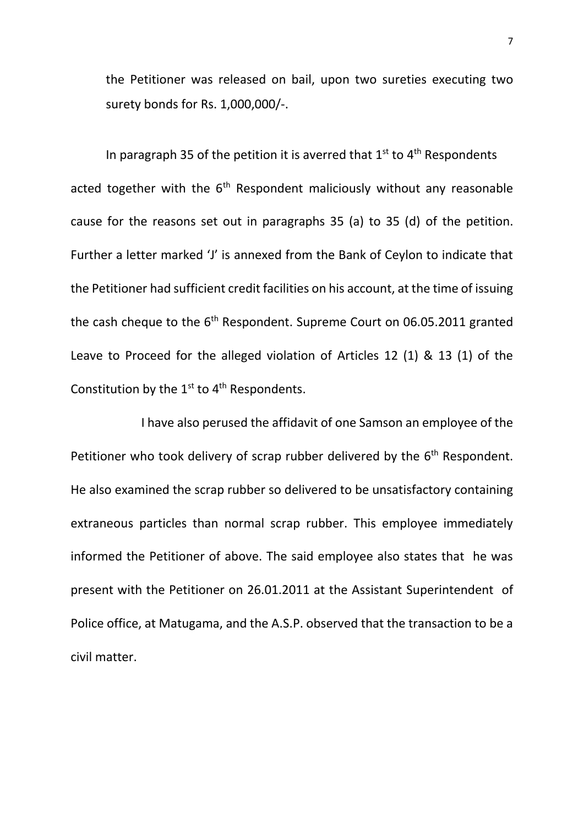the Petitioner was released on bail, upon two sureties executing two surety bonds for Rs. 1,000,000/-.

In paragraph 35 of the petition it is averred that  $1<sup>st</sup>$  to  $4<sup>th</sup>$  Respondents acted together with the  $6<sup>th</sup>$  Respondent maliciously without any reasonable cause for the reasons set out in paragraphs 35 (a) to 35 (d) of the petition. Further a letter marked 'J' is annexed from the Bank of Ceylon to indicate that the Petitioner had sufficient credit facilities on his account, at the time of issuing the cash cheque to the  $6<sup>th</sup>$  Respondent. Supreme Court on 06.05.2011 granted Leave to Proceed for the alleged violation of Articles 12 (1) & 13 (1) of the Constitution by the  $1^{st}$  to  $4^{th}$  Respondents.

I have also perused the affidavit of one Samson an employee of the Petitioner who took delivery of scrap rubber delivered by the 6<sup>th</sup> Respondent. He also examined the scrap rubber so delivered to be unsatisfactory containing extraneous particles than normal scrap rubber. This employee immediately informed the Petitioner of above. The said employee also states that he was present with the Petitioner on 26.01.2011 at the Assistant Superintendent of Police office, at Matugama, and the A.S.P. observed that the transaction to be a civil matter.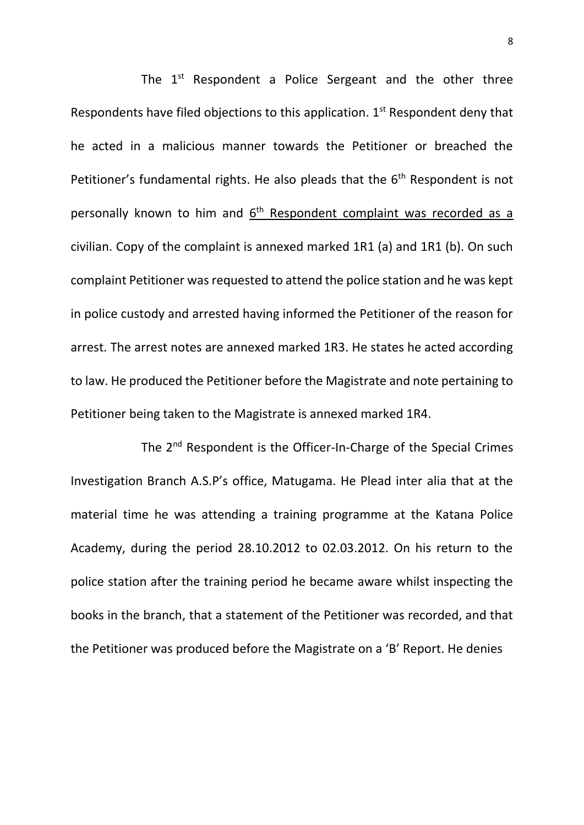The  $1<sup>st</sup>$  Respondent a Police Sergeant and the other three Respondents have filed objections to this application. 1<sup>st</sup> Respondent deny that he acted in a malicious manner towards the Petitioner or breached the Petitioner's fundamental rights. He also pleads that the  $6<sup>th</sup>$  Respondent is not personally known to him and  $6<sup>th</sup>$  Respondent complaint was recorded as a civilian. Copy of the complaint is annexed marked 1R1 (a) and 1R1 (b). On such complaint Petitioner was requested to attend the police station and he was kept in police custody and arrested having informed the Petitioner of the reason for arrest. The arrest notes are annexed marked 1R3. He states he acted according to law. He produced the Petitioner before the Magistrate and note pertaining to Petitioner being taken to the Magistrate is annexed marked 1R4.

The 2<sup>nd</sup> Respondent is the Officer-In-Charge of the Special Crimes Investigation Branch A.S.P's office, Matugama. He Plead inter alia that at the material time he was attending a training programme at the Katana Police Academy, during the period 28.10.2012 to 02.03.2012. On his return to the police station after the training period he became aware whilst inspecting the books in the branch, that a statement of the Petitioner was recorded, and that the Petitioner was produced before the Magistrate on a 'B' Report. He denies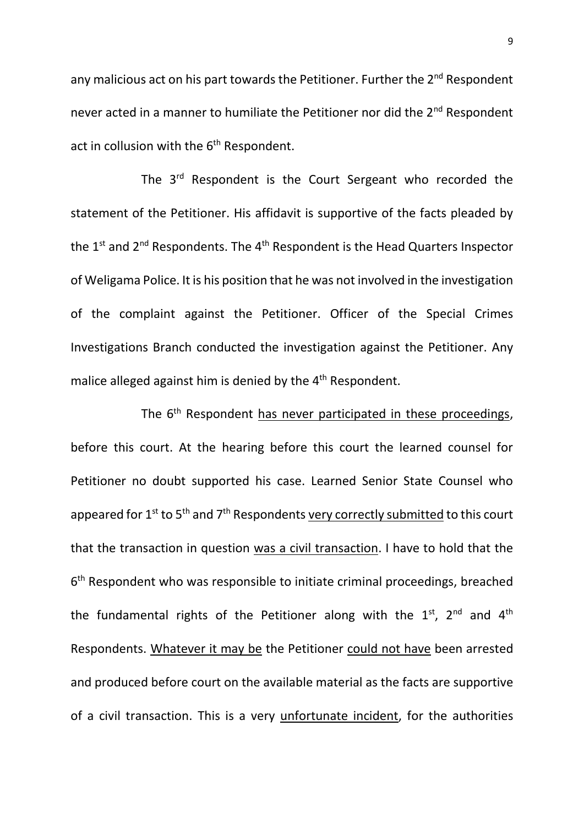any malicious act on his part towards the Petitioner. Further the 2<sup>nd</sup> Respondent never acted in a manner to humiliate the Petitioner nor did the 2<sup>nd</sup> Respondent act in collusion with the  $6<sup>th</sup>$  Respondent.

The 3<sup>rd</sup> Respondent is the Court Sergeant who recorded the statement of the Petitioner. His affidavit is supportive of the facts pleaded by the  $1<sup>st</sup>$  and  $2<sup>nd</sup>$  Respondents. The  $4<sup>th</sup>$  Respondent is the Head Quarters Inspector of Weligama Police. It is his position that he was not involved in the investigation of the complaint against the Petitioner. Officer of the Special Crimes Investigations Branch conducted the investigation against the Petitioner. Any malice alleged against him is denied by the 4<sup>th</sup> Respondent.

The 6<sup>th</sup> Respondent has never participated in these proceedings, before this court. At the hearing before this court the learned counsel for Petitioner no doubt supported his case. Learned Senior State Counsel who appeared for 1<sup>st</sup> to 5<sup>th</sup> and 7<sup>th</sup> Respondents very correctly submitted to this court that the transaction in question was a civil transaction. I have to hold that the 6<sup>th</sup> Respondent who was responsible to initiate criminal proceedings, breached the fundamental rights of the Petitioner along with the  $1^{st}$ ,  $2^{nd}$  and  $4^{th}$ Respondents. Whatever it may be the Petitioner could not have been arrested and produced before court on the available material as the facts are supportive of a civil transaction. This is a very unfortunate incident, for the authorities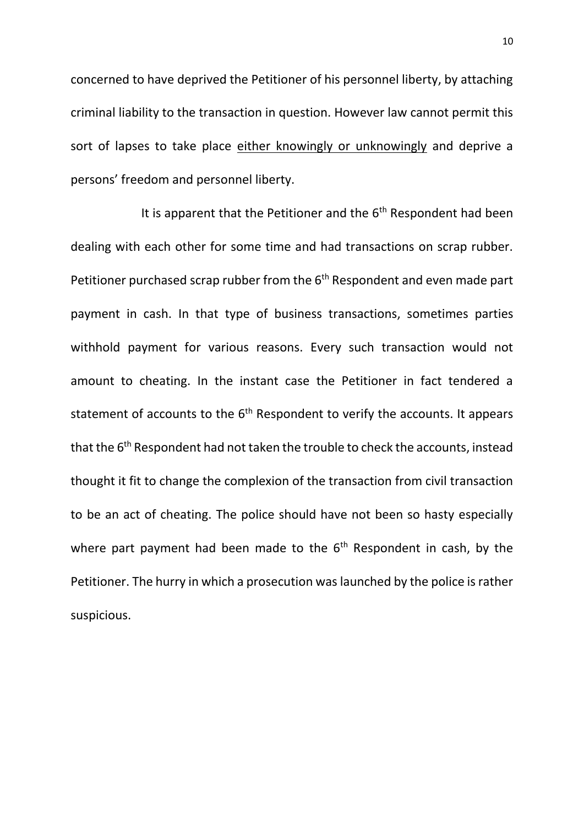concerned to have deprived the Petitioner of his personnel liberty, by attaching criminal liability to the transaction in question. However law cannot permit this sort of lapses to take place either knowingly or unknowingly and deprive a persons' freedom and personnel liberty.

It is apparent that the Petitioner and the  $6<sup>th</sup>$  Respondent had been dealing with each other for some time and had transactions on scrap rubber. Petitioner purchased scrap rubber from the 6<sup>th</sup> Respondent and even made part payment in cash. In that type of business transactions, sometimes parties withhold payment for various reasons. Every such transaction would not amount to cheating. In the instant case the Petitioner in fact tendered a statement of accounts to the  $6<sup>th</sup>$  Respondent to verify the accounts. It appears that the  $6<sup>th</sup>$  Respondent had not taken the trouble to check the accounts, instead thought it fit to change the complexion of the transaction from civil transaction to be an act of cheating. The police should have not been so hasty especially where part payment had been made to the  $6<sup>th</sup>$  Respondent in cash, by the Petitioner. The hurry in which a prosecution was launched by the police is rather suspicious.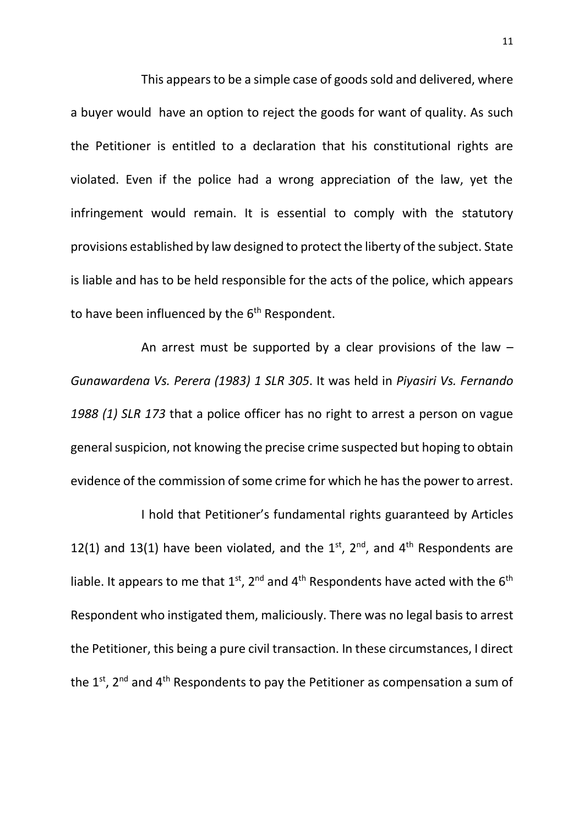This appears to be a simple case of goods sold and delivered, where a buyer would have an option to reject the goods for want of quality. As such the Petitioner is entitled to a declaration that his constitutional rights are violated. Even if the police had a wrong appreciation of the law, yet the infringement would remain. It is essential to comply with the statutory provisions established by law designed to protect the liberty of the subject. State is liable and has to be held responsible for the acts of the police, which appears to have been influenced by the  $6<sup>th</sup>$  Respondent.

An arrest must be supported by a clear provisions of the law  $-$ *Gunawardena Vs. Perera (1983) 1 SLR 305*. It was held in *Piyasiri Vs. Fernando 1988 (1) SLR 173* that a police officer has no right to arrest a person on vague general suspicion, not knowing the precise crime suspected but hoping to obtain evidence of the commission of some crime for which he has the power to arrest.

I hold that Petitioner's fundamental rights guaranteed by Articles 12(1) and 13(1) have been violated, and the  $1^{st}$ ,  $2^{nd}$ , and  $4^{th}$  Respondents are liable. It appears to me that  $1<sup>st</sup>$ ,  $2<sup>nd</sup>$  and  $4<sup>th</sup>$  Respondents have acted with the 6<sup>th</sup> Respondent who instigated them, maliciously. There was no legal basis to arrest the Petitioner, this being a pure civil transaction. In these circumstances, I direct the  $1<sup>st</sup>$ , 2<sup>nd</sup> and 4<sup>th</sup> Respondents to pay the Petitioner as compensation a sum of